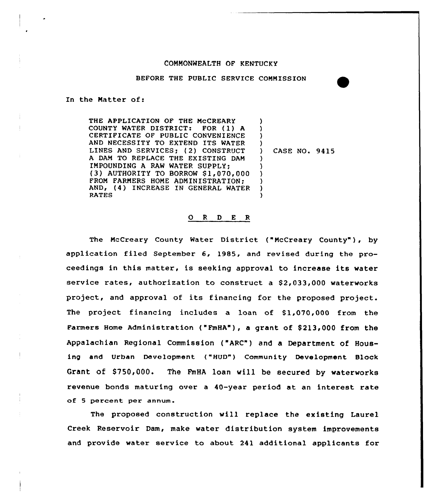#### COMMONWEALTH OF KENTUCKY

BEFORE THE PUBLIC SERVICE COMMISSION

In the Matter of:

THE APPLICATION OF THE MCCREARY<br>COUNTY WATER DISTRICT: FOR (1) A COUNTY WATER DISTRICT: CERTIFICATE OF PUBLIC CONVENIENCE AND NECESSITY TO EXTEND ITS WATER LINES AND SERVICES; (2) CONSTRUCT A DAM TO REPLACE THE EXISTING DAM IMPOUNDING A RAW WATER SUPPLY; (3) AUTHORITY TO BORROW S1,070,000 FROM FARMERS HOME ADMINISTRATION; AND, (4) INCREASE IN GENERAL WATER RATES ) ) ) ) ) ) ) ) ) )

) CASE NO. 9415

## 0 <sup>R</sup> <sup>D</sup> <sup>E</sup> <sup>R</sup>

The McCreary County Water District ("McCreary County"), by application filed September 6, 1985, and revised during the proceedings in this matter, is seeking approval to increase its water service rates, authorization to construct a \$2,033,000 waterworks project, and approval of its financing for the proposed project. The project financing includes a loan of  $$1,070,000$  from the Farmers Home Administration ("FmHA"), a grant of \$213,000 from the Appalachian Regional Commission ("ARC") and a Department of Housing and Urban Development ("HUD") Community Development Block Grant of \$750,000. The FmHA loan will be secured by waterworks revenue bonds maturing over a 40-year period at an interest rate of <sup>5</sup> percent per annum.

The proposed construction vill replace the existing Laurel Creek Reservoir Dam, make water distribution system improvements and provide water service to about 241 additional applicants for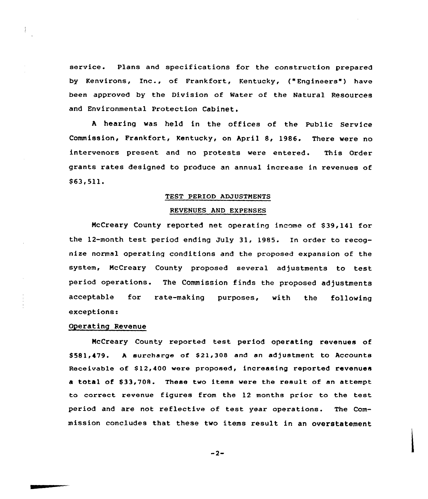service. Plans and specifications for the construction prepared by Kenvirons, Inc., of Frankfort, Kentucky, ("Engineers") have been approved by the Division of Water of the Natural Resources and Environmental Protection Cabinet.

<sup>A</sup> hearing was held in the offices of the Public Service Commission, Frankfort, Kentucky, on April 8, 1986. There were no intervenors present and no protests were entered. This Order grants rates designed to produce an annual increase in revenues of  $$63,511.$ 

#### TEST PERIOD ADJUSTMENTS

#### REVENUES AND EXPENSES

McCreary County reported net operating income of \$39,141 for the 12-month test period ending July 31, 1985. In order to recognize normal operating conditions and the proposed expansion of the system, McCreary County proposed several adjustments to test period operations. The Commission finds the proposed adjustments acceptable for rate-making purposes, with the following exceptions:

## Operating Revenue

NcCreary County reported test period operating revenues of \$581,479. A surcharge of \$21,308 and an adjustment to Accounts Receivable of \$12,400 were proposed, increasing reported revenues a total of \$33,708. These two items were the result of an attempt to correct revenue figures from the 12 months prior to the test period and are not reflective of test year operations. The Commission concludes that these two items result in an overstatement

 $-2-$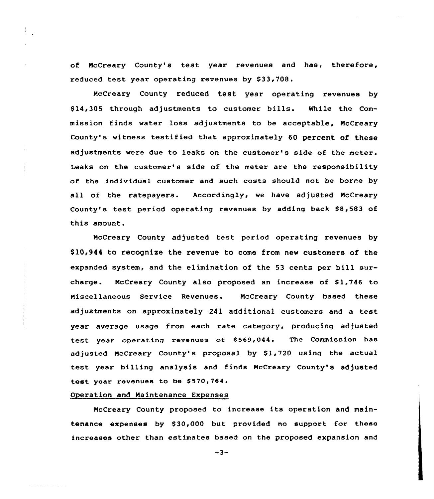of NcCreary County's test year revenues and has, therefore, reduced test year operating revenues by \$33,708.

McCreary County reduced test year operating revenues by \$ 14,305 through adjustments to customer bills. While the Commission finds water loss adjustments to be acceptable, NcCreary County's witness testified that approximately 60 percent of these adjustments were due to leaks on the customer's side of the meter. Leaks on the customer's side of the meter are the responsibility of the individual customer and such costs should not be borne by all of the ratepayers. Accordingly, we have adjusted McCreary County's test period operating revenues by adding back \$8,583 of this amount.

NcCreary County adjusted test period operating revenues by \$10,944 to recognize the revenue to come from new customers of the expanded system, and the elimination of the 53 cents per bill surcharge. McCreary County also proposed an increase of  $$1,746$  to Niscellaneous Service Revenues. McCreary County based these adjustments on approximately 241 additional customers and a test year average usage from each rate category, producing adjusted test year operating revenues of \$569,044. The Commission has adjusted NcCreary County's proposal by 81,720 using the actual test year billing analysis and finds McCreary County's adjusted test year revenues to be \$570,764.

## Operation and Maintenance Expenses

and and is a large of the

NcCreary County proposed to increase its operation and maintenance expenses by \$30,000 but provided no support for these increases other than estimates based on the proposed expansion and

 $-3-$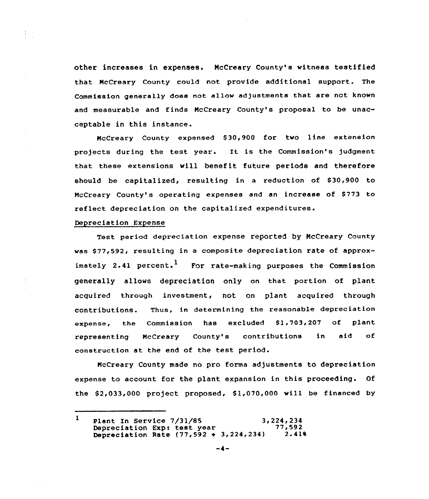other increases in expenses. McCreary County's vitness testified that McCreary County could not provide additional support. The Commission generally does not allow adjustments that are not known and measurable and finds NcCreary County's proposal to be unacceptable in this instance.

NcCreary County expensed S30,900 for two line extension projects during the test year. It is the Commission's judgment that these extensions will benefit future periods and therefore should be capitalized, resulting in a reduction of \$30,900 to McCreary County's operating expenses and an increase of \$773 to reflect depreciation on the capitalized expenditures.

## Depreciation Expense

 $\frac{1}{3}$  .  $\frac{1}{3}$ 

Test period depreciation expense reported by NcCreary County was \$ 77,592, resulting in a composite depreciation rate of approximately 2.41 percent.<sup>1</sup> For rate-making purposes the Commission generally allows depreciation only on that portion of plant acquired through investment, not on plant acquired through contributions. Thus, in determining the reasonable depreciation expense, the Commission has excluded \$1,703,207 of plan representing McCreary County's contributions in aid of construction at the end of the test period.

NcCreary County made no pro fonna adjustments to depreciation expense to account for the plant expansion in this proceeding. Of the  $$2,033,000$  project proposed,  $$1,070,000$  will be financed by

 $\mathbf{I}$ Plant In Service  $7/31/85$  3,224,234<br>Depreciation Exp: test year  $77,592$ Depreciation Exp: test year  $77,592$ <br>Depreciation Rate  $(77,592 \div 3,224,234)$  2.41% Depreciation Rate  $(77, 592 + 3, 224, 234)$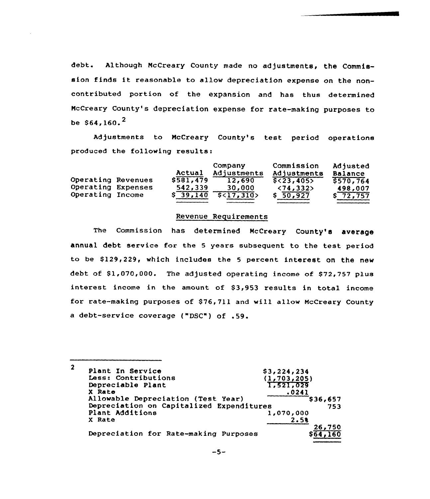debt. Although McCreary County made no adjustments, the Commission finds it reasonable to allow depreciation expense on the noncontributed portion of the expansion and has thus determined NcCreary County's depreciation expense for rate-making purposes to be  $$64.160.<sup>2</sup>$ 

Adjustments to McCreary County's test period operations produced the following results:

|                    | Actual    | Company<br>Adjustments | Commission<br>Adjustments | Adjusted<br><b>Balance</b> |
|--------------------|-----------|------------------------|---------------------------|----------------------------|
| Operating Revenues | \$581,479 | 12,690                 | $$<$ 23,405>              | 5570, 764                  |
| Operating Expenses | 542,339   | 30,000                 | $\langle 74, 332 \rangle$ | 498,007                    |
| Operating Income   | \$39,140  | 5<17,310>              | \$50,927                  | \$72,757                   |

#### Revenue Requirements

The Commission has determined McCreary County's average annual debt service for the <sup>5</sup> years subsequent to the test period to be \$129,229, which includes the 5 percent interest on the new debt of \$1,070,000. The adjusted operating income of \$72,757 plus interest income in the amount of \$3,953 results in total income for rate-making purposes of \$ 76,711 and will allow NcCreary County <sup>a</sup> debt-service coverage ("DSC") of .59.

 $\overline{2}$ Plant In Service Less: Contributions \$ 3 ~224~234  $(1, 703, 205)$ 1 g521g029 Depreciable Plant X Rate 0241 Allowable Depreciation (Test Year) \$ 36,657 Depreciation on Capitalized Expenditures 753 Plant Additions 1,070,000 X Rate2.5a 26,750<br>564,160 Depreciation for Rate-making Purposes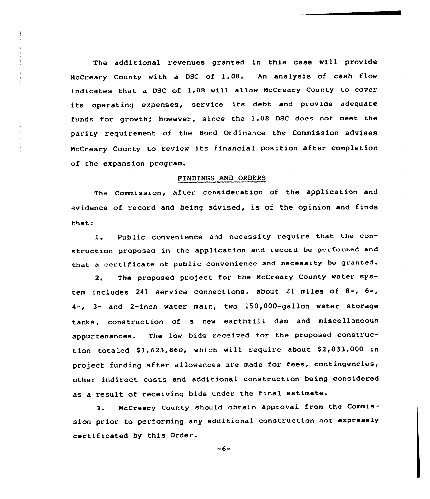The additional revenues granted in this case will provide HcCreary County with <sup>a</sup> DSC of 1.08. An analysis of cash flow indicates that a DSC of 1.08 will allow McCreary County to cover its operating expenses, service its debt and provide adequate funds for growth; however, since the 1.08 DSC does not meet the parity requirement of the Bond Ordinance the Commission advises NcCreary County to review its financial position after completion of the expansion program.

## FTNDINGS AND ORDERS

The Commission, after: consideration of the application and evidence of record and being advised, is of the opinion and finds that:

1. Public convenience and necessity require that the construction proposed in the application and record be performed and that <sup>a</sup> certificate of public convenience and necessity be granted.

2. The proposed pro)ect for the NcCreary County water system includes <sup>241</sup> service connections, about <sup>21</sup> miles of 8-, 6-, 4-, 3- and 2-inch water main, two 150,000-gallon water storage tanks, construction of <sup>a</sup> new earthfill dam and miscellaneous appurtenances. The low bids received for the proposed construction totaled \$1,623,860, which will require about \$2,033,000 in project funding after allowances are made for fees, contingencies, other indirect costs and additional construction being considered as a result of receiving bids under the final estimate.

3. NcCreary County should obtain approval from the Commission prior to performing any additional construction not expressly certificated by this Order.

 $-6-$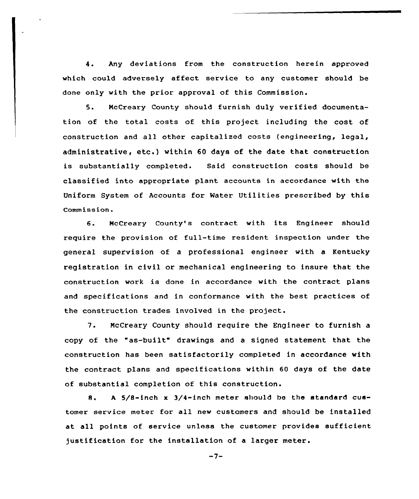4. Any deviations from the construction herein approved which could adversely affect service to any customer should be done only with the prior approval of this Commission.

5. NcCreary County should furnish duly verified documentation of the total costs of this project including the cost of construction and all other capitalized costs (engineering, legal, administrative, etc.) within <sup>60</sup> days of the date that construction is substantially completed. Said construction costs should be classified into appropriate plant accounts in accordance with the Uniform System of Accounts for Water Utilities prescribed by this Commission.

6. NcCreary County's contract with its Engineer should require the prevision of full-time resident inspection under the general supervision of a professional engineer with a Kentucky registration in civil or mechanical engineering to insure that the construction work is done in accordance with the contract plans and specifications and in conformance with the best practices of the construction trades involved in the project.

7. McCreary County should require the Engineer to furnish <sup>a</sup> copy of the "as-built" drawings and <sup>a</sup> signed statement that the construction has been satisfactorily completed in accordance with the contract plans and specifications within 60 days of the date of substantial completion of this construction.

8. A  $5/8$ -inch x  $3/4$ -inch meter should be the standard customer service meter for all new customers and should be installed at all points of service unless the customer provides sufficient justification for the installation of a larger meter.

 $-7-$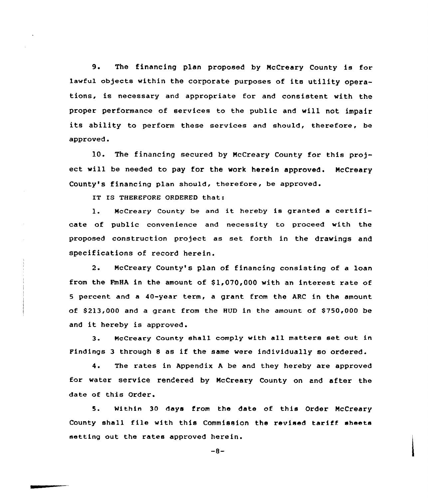9. The financing plan proposed by NcCreary County is for lawful objects within the corporate purposes of its utility operations, is necessary and appropriate for and consistent with the proper performance of services to the public and will not impair its ability to perform these services and should, therefore, be approved.

10. The financing secured by NcCreary County for this pro) ect will be needed to pay for the work herein approved. NcCreary County's financing plan should, therefore, be approved.

IT IS THEREFORE ORDERED that:

1. McCreary County be and it hereby is granted <sup>a</sup> certificate of public convenience and necessity to proceed with the proposed construction project as set forth in the drawings and specifications of record herein.

2. NcCreary County's plan of financing consisting of a loan from the FmHA in the amount of  $$1,070,000$  with an interest rate of 5 percent and a 40-year term, a grant from the ARC in the amount of  $$213,000$  and a grant from the HUD in the amount of  $$750,000$  be and it hereby is approved.

3. McCreary County shall comply with all matters set out in Findings <sup>3</sup> through <sup>8</sup> as if the same were individually so ordered.

4. The rates in Appendix <sup>A</sup> be and they hereby are approved for water service rendered by NcCreary County on and after the date of this Order.

S. Within 30 days from the date of this Order NcCreary County shall file with this Commission the revised tariff sheets setting out the rates approved herein.

 $-8-$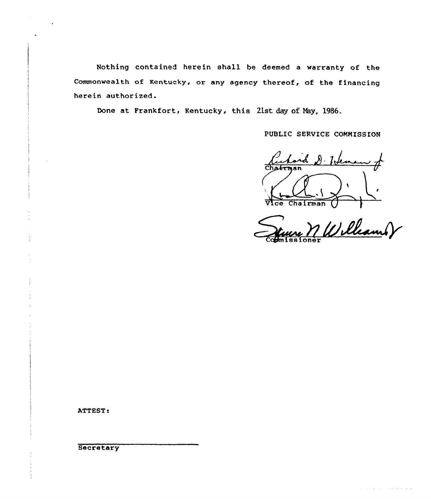Nothing contained herein shall be deemed a warranty of the commonwealth of Kentucky, or any agency thereof, of the financing herein authorized.

Done at Frankfort, Kentucky, this 21st day of May, 1986.

PUBLIC SERVICE CONNISSION

rd D. Johna l

Ce Chairman () Commissioner

للمستعمل والمستعمر والمستحدث والمتناور

ATTEST:

**Secretary**